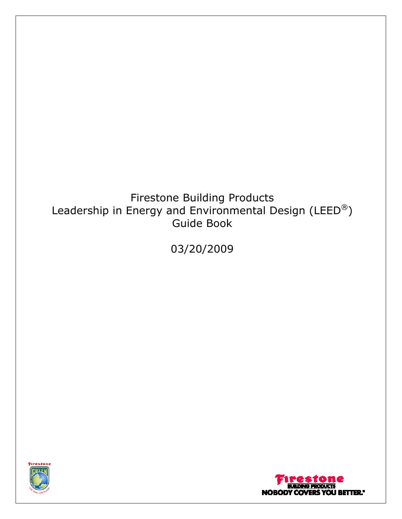# Firestone Building Products Leadership in Energy and Environmental Design (LEED®) Guide Book

03/20/2009



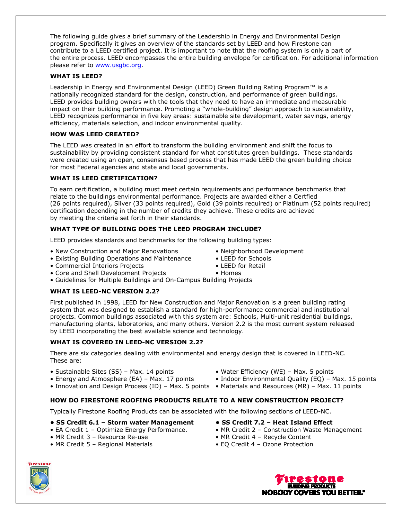The following guide gives a brief summary of the Leadership in Energy and Environmental Design program. Specifically it gives an overview of the standards set by LEED and how Firestone can contribute to a LEED certified project. It is important to note that the roofing system is only a part of the entire process. LEED encompasses the entire building envelope for certification. For additional information please refer to www.usgbc.org.

## **WHAT IS LEED?**

Leadership in Energy and Environmental Design (LEED) Green Building Rating Program™ is a nationally recognized standard for the design, construction, and performance of green buildings. LEED provides building owners with the tools that they need to have an immediate and measurable impact on their building performance. Promoting a "whole-building" design approach to sustainability, LEED recognizes performance in five key areas: sustainable site development, water savings, energy efficiency, materials selection, and indoor environmental quality.

## **HOW WAS LEED CREATED?**

The LEED was created in an effort to transform the building environment and shift the focus to sustainability by providing consistent standard for what constitutes green buildings. These standards were created using an open, consensus based process that has made LEED the green building choice for most Federal agencies and state and local governments.

## **WHAT IS LEED CERTIFICATION?**

To earn certification, a building must meet certain requirements and performance benchmarks that relate to the buildings environmental performance. Projects are awarded either a Certfied (26 points required), Silver (33 points required), Gold (39 points required) or Platinum (52 points required) certification depending in the number of credits they achieve. These credits are achieved by meeting the criteria set forth in their standards.

## **WHAT TYPE OF BUILDING DOES THE LEED PROGRAM INCLUDE?**

LEED provides standards and benchmarks for the following building types:

- New Construction and Major Renovations Neighborhood Development
- Existing Building Operations and Maintenance LEED for Schools
- Commercial Interiors Projects LEED for Retail
- Core and Shell Development Projects Homes
- Guidelines for Multiple Buildings and On-Campus Building Projects

## **WHAT IS LEED-NC VERSION 2.2?**

First published in 1998, LEED for New Construction and Major Renovation is a green building rating system that was designed to establish a standard for high-performance commercial and institutional projects. Common buildings associated with this system are: Schools, Multi-unit residential buildings, manufacturing plants, laboratories, and many others. Version 2.2 is the most current system released by LEED incorporating the best available science and technology.

## **WHAT IS COVERED IN LEED-NC VERSION 2.2?**

There are six categories dealing with environmental and energy design that is covered in LEED-NC. These are:

- Sustainable Sites (SS) Max. 14 points Water Efficiency (WE) Max. 5 points
- 
- Energy and Atmosphere (EA) Max. 17 points Indoor Environmental Quality (EQ) Max. 15 points
- Innovation and Design Process (ID) Max. 5 points Materials and Resources (MR) Max. 11 points

## **HOW DO FIRESTONE ROOFING PRODUCTS RELATE TO A NEW CONSTRUCTION PROJECT?**

Typically Firestone Roofing Products can be associated with the following sections of LEED-NC.

#### **• SS Credit 6.1 – Storm water Management • SS Credit 7.2 – Heat Island Effect**

- 
- 
- MR Credit 5 Regional Materials EQ Credit 4 Ozone Protection
- 
- EA Credit 1 Optimize Energy Performance. MR Credit 2 Construction Waste Management
- MR Credit 3 Resource Re-use MR Credit 4 Recycle Content
	-





- 
- 
- 
-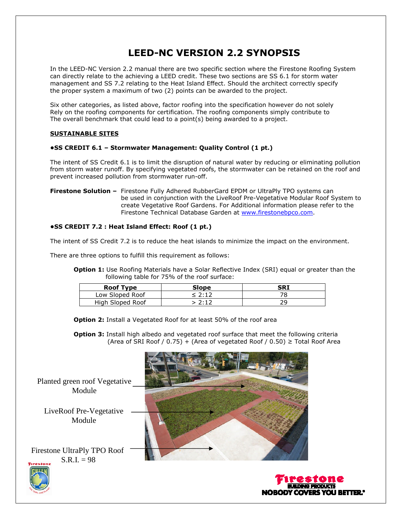## **LEED-NC VERSION 2.2 SYNOPSIS**

In the LEED-NC Version 2.2 manual there are two specific section where the Firestone Roofing System can directly relate to the achieving a LEED credit. These two sections are SS 6.1 for storm water management and SS 7.2 relating to the Heat Island Effect. Should the architect correctly specify the proper system a maximum of two (2) points can be awarded to the project.

Six other categories, as listed above, factor roofing into the specification however do not solely Rely on the roofing components for certification. The roofing components simply contribute to The overall benchmark that could lead to a point(s) being awarded to a project.

## **SUSTAINABLE SITES**

## **•SS CREDIT 6.1 – Stormwater Management: Quality Control (1 pt.)**

The intent of SS Credit 6.1 is to limit the disruption of natural water by reducing or eliminating pollution from storm water runoff. By specifying vegetated roofs, the stormwater can be retained on the roof and prevent increased pollution from stormwater run-off.

**Firestone Solution –** Firestone Fully Adhered RubberGard EPDM or UltraPly TPO systems can be used in conjunction with the LiveRoof Pre-Vegetative Modular Roof System to create Vegetative Roof Gardens. For Additional information please refer to the Firestone Technical Database Garden at www.firestonebpco.com.

## **•SS CREDIT 7.2 : Heat Island Effect: Roof (1 pt.)**

The intent of SS Credit 7.2 is to reduce the heat islands to minimize the impact on the environment.

There are three options to fulfill this requirement as follows:

**Option 1:** Use Roofing Materials have a Solar Reflective Index (SRI) equal or greater than the following table for 75% of the roof surface:

| <b>Roof Type</b> | Slope  | SRI |
|------------------|--------|-----|
| Low Sloped Roof  | < 2:12 |     |
| High Sloped Roof | 7.12   |     |

**Option 2:** Install a Vegetated Roof for at least 50% of the roof area

**Option 3:** Install high albedo and vegetated roof surface that meet the following criteria (Area of SRI Roof / 0.75) + (Area of vegetated Roof / 0.50)  $\geq$  Total Roof Area

Planted green roof Vegetative Module

LiveRoof Pre-Vegetative Module

Firestone UltraPly TPO Roof  $S.R.I. = 98$ 





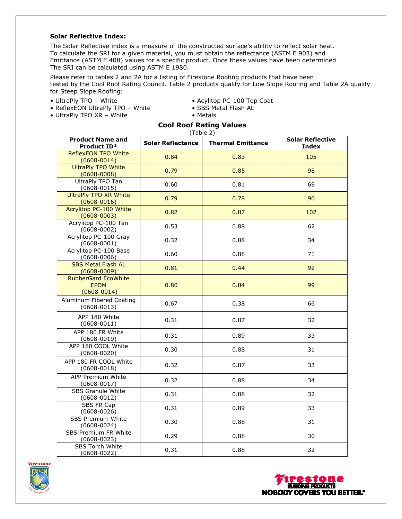#### **Solar Reflective Index:**

The Solar Reflective index is a measure of the constructed surface's ability to reflect solar heat. To calculate the SRI for a given material, you must obtain the reflectance (ASTM E 903) and Emittance (ASTM E 408) values for a specific product. Once these values have been determined The SRI can be calculated using ASTM E 1980.

Please refer to tables 2 and 2A for a listing of Firestone Roofing products that have been tested by the Cool Roof Rating Council. Table 2 products qualify for Low Slope Roofing and Table 2A qualify for Steep Slope Roofing:

- 
- UltraPly TPO White explition PC-100 Top Coat ReflexEON UltraPly TPO White SBS Metal Flash AL • ReflexEON UltraPly TPO – White • SBS Metal Flash AL
- UltraPly TPO  $XR What$
- 
- 

**Cool Roof Rating Values**

| (Table 2)                                                    |                          |                          |                                         |  |
|--------------------------------------------------------------|--------------------------|--------------------------|-----------------------------------------|--|
| <b>Product Name and</b><br>Product ID*                       | <b>Solar Reflectance</b> | <b>Thermal Emittance</b> | <b>Solar Reflective</b><br><b>Index</b> |  |
| <b>ReflexEON TPO White</b><br>$(0608 - 0014)$                | 0.84                     | 0.83                     | 105                                     |  |
| <b>UltraPly TPO White</b><br>$(0608 - 0008)$                 | 0.79                     | 0.85                     | 98                                      |  |
| UltraPly TPO Tan<br>$(0608 - 0015)$                          | 0.60                     | 0.81                     | 69                                      |  |
| <b>UltraPly TPO XR White</b><br>$(0608 - 0016)$              | 0.79                     | 0.78                     | 96                                      |  |
| Acrylitop PC-100 White<br>$(0608 - 0003)$                    | 0.82                     | 0.87                     | 102                                     |  |
| Acrylitop PC-100 Tan<br>$(0608 - 0002)$                      | 0.53                     | 0.88                     | 62                                      |  |
| Acrylitop PC-100 Gray<br>$(0608 - 0001)$                     | 0.32                     | 0.88                     | 34                                      |  |
| Acrylitop PC-100 Base<br>$(0608 - 0006)$                     | 0.60                     | 0.88                     | 71                                      |  |
| <b>SBS Metal Flash AL</b><br>$(0608 - 0009)$                 | 0.81                     | 0.44                     | 92                                      |  |
| <b>RubberGard EcoWhite</b><br><b>EPDM</b><br>$(0608 - 0014)$ | 0.80                     | 0.84                     | 99                                      |  |
| Aluminum Fibered Coating<br>$(0608 - 0013)$                  | 0.67                     | 0.38                     | 66                                      |  |
| APP 180 White<br>$(0608 - 0011)$                             | 0.31                     | 0.87                     | 32                                      |  |
| APP 180 FR White<br>$(0608 - 0019)$                          | 0.31                     | 0.89                     | 33                                      |  |
| APP 180 COOL White<br>$(0608 - 0020)$                        | 0.30                     | 0.88                     | 31                                      |  |
| APP 180 FR COOL White<br>$(0608 - 0018)$                     | 0.32                     | 0.87                     | 33                                      |  |
| APP Premium White<br>$(0608 - 0017)$                         | 0.32                     | 0.88                     | 34                                      |  |
| <b>SBS Granule White</b><br>$(0608 - 0012)$                  | 0.31                     | 0.88                     | 32                                      |  |
| SBS FR Cap<br>$(0608 - 0026)$                                | 0.31                     | 0.89                     | 33                                      |  |
| <b>SBS Premium White</b><br>$(0608 - 0024)$                  | 0.30                     | 0.88                     | 31                                      |  |
| SBS Premium FR White<br>$(0608 - 0023)$                      | 0.29                     | 0.88                     | 30                                      |  |
| SBS Torch White<br>$(0608 - 0022)$                           | 0.31                     | 0.88                     | 32                                      |  |



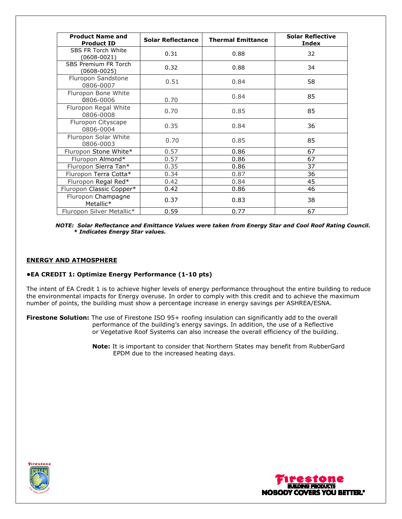| <b>Product Name and</b><br><b>Product ID</b> | <b>Solar Reflectance</b> | <b>Thermal Emittance</b> | <b>Solar Reflective</b><br>Index |
|----------------------------------------------|--------------------------|--------------------------|----------------------------------|
| SBS FR Torch White<br>(0608-0021)            | 0.31                     | 0.88                     | 32                               |
| <b>SBS Premium FR Torch</b><br>(0608-0025)   | 0.32                     | 0.88                     | 34                               |
| Fluropon Sandstone<br>0806-0007              | 0.51                     | 0.84                     | 58                               |
| Fluropon Bone White<br>0806-0006             | 0.70                     | 0.84                     | 85                               |
| Fluropon Regal White<br>0806-0008            | 0.70                     | 0.85                     | 85                               |
| Fluropon Cityscape<br>0806-0004              | 0.35                     | 0.84                     | 36                               |
| Fluropon Solar White<br>0806-0003            | 0.70                     | 0.85                     | 85                               |
| Fluropon Stone White*                        | 0.57                     | 0.86                     | 67                               |
| Fluropon Almond*                             | 0.57                     | 0.86                     | 67                               |
| Fluropon Sierra Tan*                         | 0.35                     | 0.86                     | 37                               |
| Fluropon Terra Cotta*                        | 0.34                     | 0.87                     | 36                               |
| Fluropon Regal Red*                          | 0.42                     | 0.84                     | 45                               |
| Fluropon Classic Copper*                     | 0.42                     | 0.86                     | 46                               |
| Fluropon Champagne<br>Metallic*              | 0.37                     | 0.83                     | 38                               |
| Fluropon Silver Metallic*                    | 0.59                     | 0.77                     | 67                               |

*NOTE: Solar Reflectance and Emittance Values were taken from Energy Star and Cool Roof Rating Council. \* Indicates Energy Star values.*

#### **ENERGY AND ATMOSPHERE**

#### **•EA CREDIT 1: Optimize Energy Performance (1-10 pts)**

The intent of EA Credit 1 is to achieve higher levels of energy performance throughout the entire building to reduce the environmental impacts for Energy overuse. In order to comply with this credit and to achieve the maximum number of points, the building must show a percentage increase in energy savings per ASHREA/ESNA.

**Firestone Solution:** The use of Firestone ISO 95+ roofing insulation can significantly add to the overall performance of the building's energy savings. In addition, the use of a Reflective or Vegetative Roof Systems can also increase the overall efficiency of the building.

> **Note:** It is important to consider that Northern States may benefit from RubberGard EPDM due to the increased heating days.



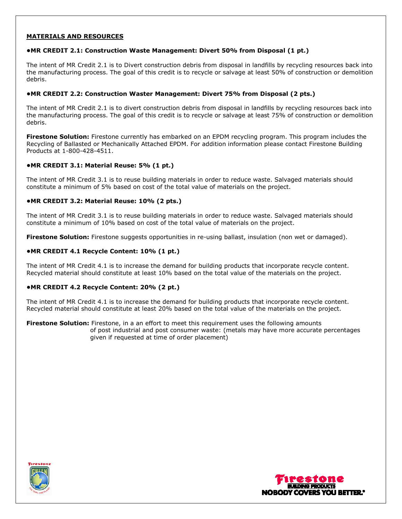## **MATERIALS AND RESOURCES**

#### **•MR CREDIT 2.1: Construction Waste Management: Divert 50% from Disposal (1 pt.)**

The intent of MR Credit 2.1 is to Divert construction debris from disposal in landfills by recycling resources back into the manufacturing process. The goal of this credit is to recycle or salvage at least 50% of construction or demolition debris.

#### **•MR CREDIT 2.2: Construction Waster Management: Divert 75% from Disposal (2 pts.)**

The intent of MR Credit 2.1 is to divert construction debris from disposal in landfills by recycling resources back into the manufacturing process. The goal of this credit is to recycle or salvage at least 75% of construction or demolition debris.

**Firestone Solution:** Firestone currently has embarked on an EPDM recycling program. This program includes the Recycling of Ballasted or Mechanically Attached EPDM. For addition information please contact Firestone Building Products at 1-800-428-4511.

#### **•MR CREDIT 3.1: Material Reuse: 5% (1 pt.)**

The intent of MR Credit 3.1 is to reuse building materials in order to reduce waste. Salvaged materials should constitute a minimum of 5% based on cost of the total value of materials on the project.

#### **•MR CREDIT 3.2: Material Reuse: 10% (2 pts.)**

The intent of MR Credit 3.1 is to reuse building materials in order to reduce waste. Salvaged materials should constitute a minimum of 10% based on cost of the total value of materials on the project.

**Firestone Solution:** Firestone suggests opportunities in re-using ballast, insulation (non wet or damaged).

#### **•MR CREDIT 4.1 Recycle Content: 10% (1 pt.)**

The intent of MR Credit 4.1 is to increase the demand for building products that incorporate recycle content. Recycled material should constitute at least 10% based on the total value of the materials on the project.

#### **•MR CREDIT 4.2 Recycle Content: 20% (2 pt.)**

The intent of MR Credit 4.1 is to increase the demand for building products that incorporate recycle content. Recycled material should constitute at least 20% based on the total value of the materials on the project.

**Firestone Solution:** Firestone, in a an effort to meet this requirement uses the following amounts of post industrial and post consumer waste: (metals may have more accurate percentages given if requested at time of order placement)



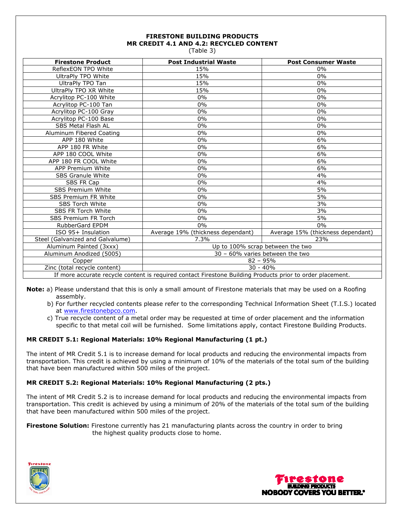## **FIRESTONE BUILDING PRODUCTS MR CREDIT 4.1 AND 4.2: RECYCLED CONTENT**

(Table 3)

| <b>Firestone Product</b>                                                                                   | <b>Post Industrial Waste</b>      | <b>Post Consumer Waste</b>        |
|------------------------------------------------------------------------------------------------------------|-----------------------------------|-----------------------------------|
| ReflexEON TPO White                                                                                        | 15%                               | $0\%$                             |
| UltraPly TPO White                                                                                         | 15%                               | 0%                                |
| UltraPly TPO Tan                                                                                           | 15%                               | $0\%$                             |
| UltraPly TPO XR White                                                                                      | 15%                               | 0%                                |
| Acrylitop PC-100 White                                                                                     | $0\%$                             | 0%                                |
| Acrylitop PC-100 Tan                                                                                       | $0\%$                             | $0\%$                             |
| Acrylitop PC-100 Gray                                                                                      | $0\%$                             | 0%                                |
| Acrylitop PC-100 Base                                                                                      | $0\%$                             | 0%                                |
| <b>SBS Metal Flash AL</b>                                                                                  | $0\%$                             | 0%                                |
| Aluminum Fibered Coating                                                                                   | $0\%$                             | 0%                                |
| APP 180 White                                                                                              | $0\%$                             | 6%                                |
| APP 180 FR White                                                                                           | $0\%$                             | 6%                                |
| APP 180 COOL White                                                                                         | $0\%$                             | 6%                                |
| APP 180 FR COOL White                                                                                      | 0%                                | 6%                                |
| APP Premium White                                                                                          | $0\%$                             | 6%                                |
| <b>SBS Granule White</b>                                                                                   | $0\%$                             | 4%                                |
| SBS FR Cap                                                                                                 | $0\%$                             | 4%                                |
| SBS Premium White                                                                                          | $0\%$                             | 5%                                |
| <b>SBS Premium FR White</b>                                                                                | $0\%$                             | 5%                                |
| SBS Torch White                                                                                            | 0%                                | 3%                                |
| <b>SBS FR Torch White</b>                                                                                  | $0\%$                             | 3%                                |
| <b>SBS Premium FR Torch</b>                                                                                | $0\%$                             | 5%                                |
| <b>RubberGard EPDM</b>                                                                                     | $0\%$                             | $0\%$                             |
| ISO 95+ Insulation                                                                                         | Average 19% (thickness dependant) | Average 15% (thickness dependant) |
| Steel (Galvanized and Galvalume)                                                                           | 7.3%                              | 23%                               |
| Aluminum Painted (3xxx)                                                                                    | Up to 100% scrap between the two  |                                   |
| Aluminum Anodized (5005)                                                                                   | 30 - 60% varies between the two   |                                   |
| Copper                                                                                                     | $82 - 95%$                        |                                   |
| Zinc (total recycle content)                                                                               | $30 - 40%$                        |                                   |
| If more accurate recycle content is required contact Firestone Building Products prior to order placement. |                                   |                                   |

- **Note:** a) Please understand that this is only a small amount of Firestone materials that may be used on a Roofing assembly.
	- b) For further recycled contents please refer to the corresponding Technical Information Sheet (T.I.S.) located at www.firestonebpco.com.
	- c) True recycle content of a metal order may be requested at time of order placement and the information specific to that metal coil will be furnished. Some limitations apply, contact Firestone Building Products.

## **MR CREDIT 5.1: Regional Materials: 10% Regional Manufacturing (1 pt.)**

The intent of MR Credit 5.1 is to increase demand for local products and reducing the environmental impacts from transportation. This credit is achieved by using a minimum of 10% of the materials of the total sum of the building that have been manufactured within 500 miles of the project.

#### **MR CREDIT 5.2: Regional Materials: 10% Regional Manufacturing (2 pts.)**

The intent of MR Credit 5.2 is to increase demand for local products and reducing the environmental impacts from transportation. This credit is achieved by using a minimum of 20% of the materials of the total sum of the building that have been manufactured within 500 miles of the project.

**Firestone Solution:** Firestone currently has 21 manufacturing plants across the country in order to bring the highest quality products close to home.



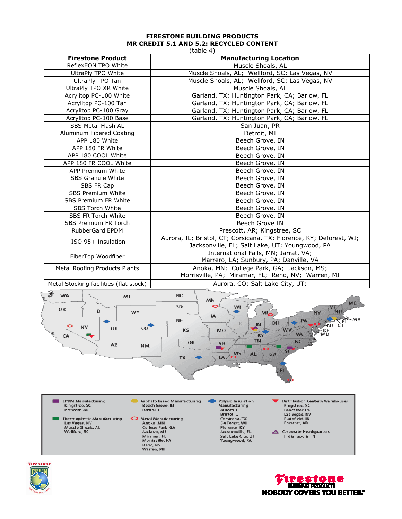## **FIRESTONE BUILDING PRODUCTS MR CREDIT 5.1 AND 5.2: RECYCLED CONTENT**

|                                                                                                                                                                                                                                                  | (table 4)                                                                                                                                                                                                                                                                                                                                                                                                                                                                                                                                                      |  |
|--------------------------------------------------------------------------------------------------------------------------------------------------------------------------------------------------------------------------------------------------|----------------------------------------------------------------------------------------------------------------------------------------------------------------------------------------------------------------------------------------------------------------------------------------------------------------------------------------------------------------------------------------------------------------------------------------------------------------------------------------------------------------------------------------------------------------|--|
| <b>Manufacturing Location</b><br><b>Firestone Product</b>                                                                                                                                                                                        |                                                                                                                                                                                                                                                                                                                                                                                                                                                                                                                                                                |  |
| ReflexEON TPO White                                                                                                                                                                                                                              | Muscle Shoals, AL                                                                                                                                                                                                                                                                                                                                                                                                                                                                                                                                              |  |
| UltraPly TPO White                                                                                                                                                                                                                               | Muscle Shoals, AL; Wellford, SC; Las Vegas, NV                                                                                                                                                                                                                                                                                                                                                                                                                                                                                                                 |  |
| UltraPly TPO Tan                                                                                                                                                                                                                                 | Muscle Shoals, AL; Wellford, SC; Las Vegas, NV                                                                                                                                                                                                                                                                                                                                                                                                                                                                                                                 |  |
| UltraPly TPO XR White                                                                                                                                                                                                                            | Muscle Shoals, AL                                                                                                                                                                                                                                                                                                                                                                                                                                                                                                                                              |  |
| Acrylitop PC-100 White                                                                                                                                                                                                                           | Garland, TX; Huntington Park, CA; Barlow, FL                                                                                                                                                                                                                                                                                                                                                                                                                                                                                                                   |  |
| Acrylitop PC-100 Tan                                                                                                                                                                                                                             | Garland, TX; Huntington Park, CA; Barlow, FL                                                                                                                                                                                                                                                                                                                                                                                                                                                                                                                   |  |
| Acrylitop PC-100 Gray                                                                                                                                                                                                                            | Garland, TX; Huntington Park, CA; Barlow, FL                                                                                                                                                                                                                                                                                                                                                                                                                                                                                                                   |  |
| Acrylitop PC-100 Base                                                                                                                                                                                                                            | Garland, TX; Huntington Park, CA; Barlow, FL                                                                                                                                                                                                                                                                                                                                                                                                                                                                                                                   |  |
| SBS Metal Flash AL                                                                                                                                                                                                                               | San Juan, PR                                                                                                                                                                                                                                                                                                                                                                                                                                                                                                                                                   |  |
| Aluminum Fibered Coating                                                                                                                                                                                                                         | Detroit, MI                                                                                                                                                                                                                                                                                                                                                                                                                                                                                                                                                    |  |
| APP 180 White                                                                                                                                                                                                                                    | Beech Grove, IN                                                                                                                                                                                                                                                                                                                                                                                                                                                                                                                                                |  |
| APP 180 FR White                                                                                                                                                                                                                                 | Beech Grove, IN                                                                                                                                                                                                                                                                                                                                                                                                                                                                                                                                                |  |
| APP 180 COOL White                                                                                                                                                                                                                               | Beech Grove, IN                                                                                                                                                                                                                                                                                                                                                                                                                                                                                                                                                |  |
| APP 180 FR COOL White                                                                                                                                                                                                                            | Beech Grove, IN                                                                                                                                                                                                                                                                                                                                                                                                                                                                                                                                                |  |
| APP Premium White                                                                                                                                                                                                                                | Beech Grove, IN                                                                                                                                                                                                                                                                                                                                                                                                                                                                                                                                                |  |
| SBS Granule White                                                                                                                                                                                                                                | Beech Grove, IN                                                                                                                                                                                                                                                                                                                                                                                                                                                                                                                                                |  |
| SBS FR Cap                                                                                                                                                                                                                                       | Beech Grove, IN                                                                                                                                                                                                                                                                                                                                                                                                                                                                                                                                                |  |
| SBS Premium White                                                                                                                                                                                                                                | Beech Grove, IN                                                                                                                                                                                                                                                                                                                                                                                                                                                                                                                                                |  |
| SBS Premium FR White                                                                                                                                                                                                                             | Beech Grove, IN                                                                                                                                                                                                                                                                                                                                                                                                                                                                                                                                                |  |
| SBS Torch White                                                                                                                                                                                                                                  | Beech Grove, IN                                                                                                                                                                                                                                                                                                                                                                                                                                                                                                                                                |  |
| SBS FR Torch White                                                                                                                                                                                                                               | Beech Grove, IN                                                                                                                                                                                                                                                                                                                                                                                                                                                                                                                                                |  |
| SBS Premium FR Torch                                                                                                                                                                                                                             | Beech Grove IN                                                                                                                                                                                                                                                                                                                                                                                                                                                                                                                                                 |  |
| RubberGard EPDM                                                                                                                                                                                                                                  |                                                                                                                                                                                                                                                                                                                                                                                                                                                                                                                                                                |  |
|                                                                                                                                                                                                                                                  | Prescott, AR; Kingstree, SC<br>Aurora, IL; Bristol, CT; Corsicana, TX; Florence, KY; Deforest, WI;                                                                                                                                                                                                                                                                                                                                                                                                                                                             |  |
| ISO 95+ Insulation                                                                                                                                                                                                                               | Jacksonville, FL; Salt Lake, UT; Youngwood, PA                                                                                                                                                                                                                                                                                                                                                                                                                                                                                                                 |  |
| FiberTop Woodfiber                                                                                                                                                                                                                               | International Falls, MN; Jarrat, VA;                                                                                                                                                                                                                                                                                                                                                                                                                                                                                                                           |  |
|                                                                                                                                                                                                                                                  | Marrero, LA; Sunbury, PA; Danville, VA                                                                                                                                                                                                                                                                                                                                                                                                                                                                                                                         |  |
| Metal Roofing Products Plants                                                                                                                                                                                                                    | Anoka, MN; College Park, GA; Jackson, MS;<br>Morrisville, PA; Miramar, FL; Reno, NV; Warren, MI                                                                                                                                                                                                                                                                                                                                                                                                                                                                |  |
| Metal Stocking facilities (flat stock)                                                                                                                                                                                                           | Aurora, CO: Salt Lake City, UT:                                                                                                                                                                                                                                                                                                                                                                                                                                                                                                                                |  |
| WA<br><b>ND</b><br>MT<br>MN<br>SD<br>o<br>WI<br>0R<br>ID<br>WY<br>ML<br>IA.<br><b>NE</b><br>OH<br>肚<br>IN<br>CO<br>UT<br>KS<br>M <sub>O</sub><br>К٢<br>CA<br><b>TN</b><br>OK<br>AZ<br>ΑК<br><b>NM</b><br>۰.<br><b>MS</b><br>AL<br>GA<br>LA<br>TX |                                                                                                                                                                                                                                                                                                                                                                                                                                                                                                                                                                |  |
| <b>EPDM Manufacturing</b><br>Kingstree, SC<br>Prescott, AR<br>Thermoplastic Manufacturing<br>Las Vegas, NV<br>Muscle Shoals, AL<br>Wellford, SC                                                                                                  | Asphalt-based Manufacturing<br>Polyiso Insulation<br><b>Distribution Centers/Warehouses</b><br>Beech Grove, IN<br>Manufacturing<br>Kingstree, SC<br>Bristol, CT<br>Aurora, CO<br>Lancaster, PA<br>Bristol, CT<br>Las Vegas, NV<br>Metal Manufacturing<br>Corsicana, TX<br>Plainfield, IN<br>De Forest, WI<br>Prescott, AR<br>Anoka, MN<br>College Park, GA<br>Florence, KY<br>Jackson, MS<br>Jacksonville, FL<br>Corporate Headquarters<br>Miramar, FL<br>Salt Lake City, UT<br>Indianapolis, IN<br>Morrisville, PA<br>Youngwood, PA<br>Reno, NV<br>Warren, MI |  |
| stone<br><b>IEEM</b>                                                                                                                                                                                                                             |                                                                                                                                                                                                                                                                                                                                                                                                                                                                                                                                                                |  |